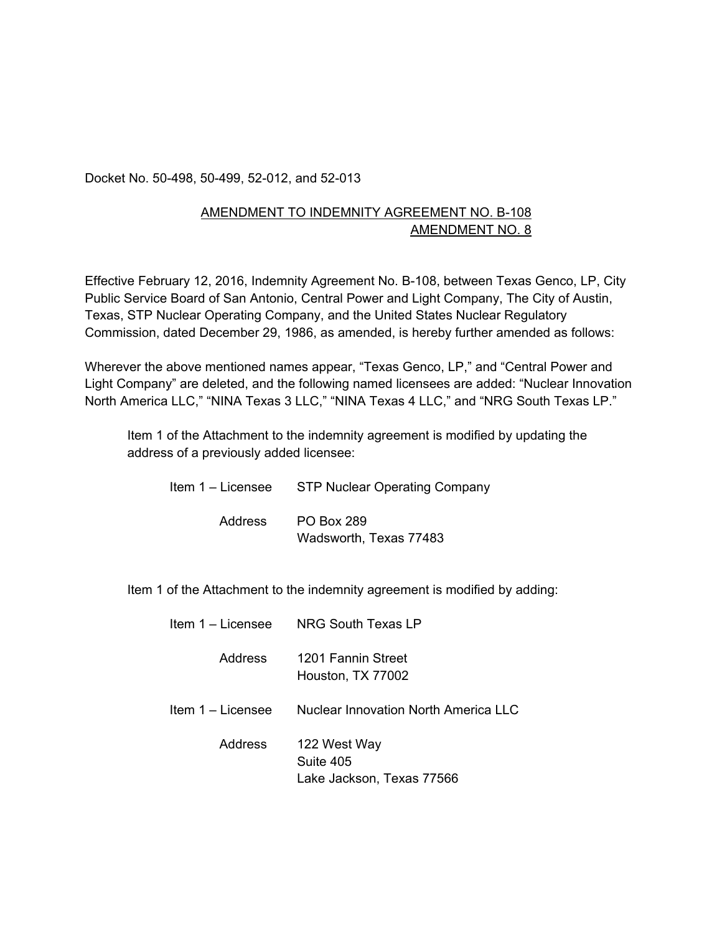Docket No. 50-498, 50-499, 52-012, and 52-013

## AMENDMENT TO INDEMNITY AGREEMENT NO. B-108 AMENDMENT NO. 8

Effective February 12, 2016, Indemnity Agreement No. B-108, between Texas Genco, LP, City Public Service Board of San Antonio, Central Power and Light Company, The City of Austin, Texas, STP Nuclear Operating Company, and the United States Nuclear Regulatory Commission, dated December 29, 1986, as amended, is hereby further amended as follows:

Wherever the above mentioned names appear, "Texas Genco, LP," and "Central Power and Light Company" are deleted, and the following named licensees are added: "Nuclear Innovation North America LLC," "NINA Texas 3 LLC," "NINA Texas 4 LLC," and "NRG South Texas LP."

Item 1 of the Attachment to the indemnity agreement is modified by updating the address of a previously added licensee:

| Item 1 – Licensee | STP Nuclear Operating Company        |
|-------------------|--------------------------------------|
| Address           | PO Box 289<br>Wadsworth, Texas 77483 |

Item 1 of the Attachment to the indemnity agreement is modified by adding:

| Item 1 – Licensee | NRG South Texas LP                                     |
|-------------------|--------------------------------------------------------|
| <b>Address</b>    | 1201 Fannin Street<br>Houston, TX 77002                |
| Item 1 – Licensee | Nuclear Innovation North America LLC                   |
| <b>Address</b>    | 122 West Way<br>Suite 405<br>Lake Jackson, Texas 77566 |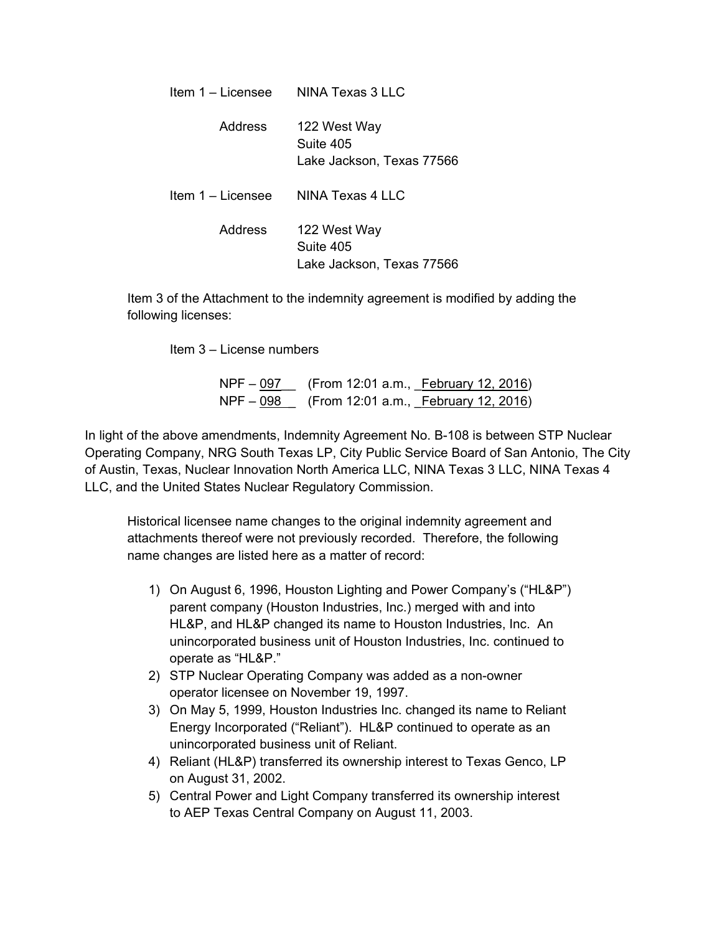| Item 1 - Licensee | NINA Texas 3 LLC                                       |
|-------------------|--------------------------------------------------------|
| Address           | 122 West Way<br>Suite 405<br>Lake Jackson, Texas 77566 |
| Item 1 – Licensee | NINA Texas 4 LLC                                       |
| Address           | 122 West Way<br>Suite 405<br>Lake Jackson, Texas 77566 |

Item 3 of the Attachment to the indemnity agreement is modified by adding the following licenses:

Item 3 – License numbers

NPF – 097 (From 12:01 a.m., **February 12, 2016)** NPF – 098 (From 12:01 a.m., February 12, 2016)

In light of the above amendments, Indemnity Agreement No. B-108 is between STP Nuclear Operating Company, NRG South Texas LP, City Public Service Board of San Antonio, The City of Austin, Texas, Nuclear Innovation North America LLC, NINA Texas 3 LLC, NINA Texas 4 LLC, and the United States Nuclear Regulatory Commission.

Historical licensee name changes to the original indemnity agreement and attachments thereof were not previously recorded. Therefore, the following name changes are listed here as a matter of record:

- 1) On August 6, 1996, Houston Lighting and Power Company's ("HL&P") parent company (Houston Industries, Inc.) merged with and into HL&P, and HL&P changed its name to Houston Industries, Inc. An unincorporated business unit of Houston Industries, Inc. continued to operate as "HL&P."
- 2) STP Nuclear Operating Company was added as a non-owner operator licensee on November 19, 1997.
- 3) On May 5, 1999, Houston Industries Inc. changed its name to Reliant Energy Incorporated ("Reliant"). HL&P continued to operate as an unincorporated business unit of Reliant.
- 4) Reliant (HL&P) transferred its ownership interest to Texas Genco, LP on August 31, 2002.
- 5) Central Power and Light Company transferred its ownership interest to AEP Texas Central Company on August 11, 2003.